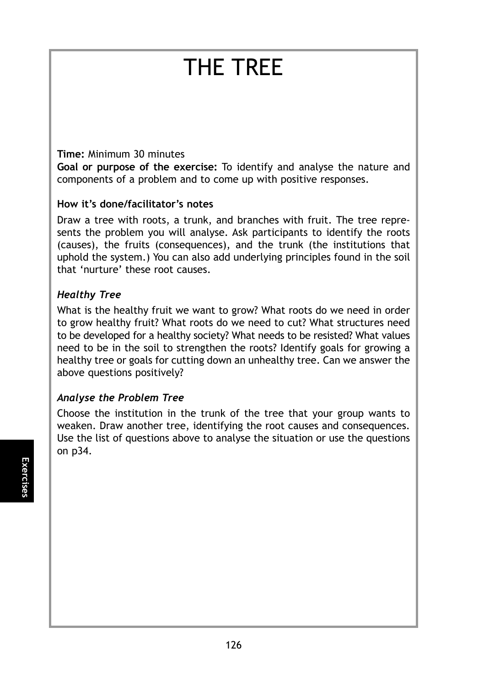# THE TREE

#### **Time:** Minimum 30 minutes

**Goal or purpose of the exercise:** To identify and analyse the nature and components of a problem and to come up with positive responses.

### **How it's done/facilitator's notes**

Draw a tree with roots, a trunk, and branches with fruit. The tree represents the problem you will analyse. Ask participants to identify the roots (causes), the fruits (consequences), and the trunk (the institutions that uphold the system.) You can also add underlying principles found in the soil that 'nurture' these root causes.

## *Healthy Tree*

What is the healthy fruit we want to grow? What roots do we need in order to grow healthy fruit? What roots do we need to cut? What structures need to be developed for a healthy society? What needs to be resisted? What values need to be in the soil to strengthen the roots? Identify goals for growing a healthy tree or goals for cutting down an unhealthy tree. Can we answer the above questions positively?

## *Analyse the Problem Tree*

Choose the institution in the trunk of the tree that your group wants to weaken. Draw another tree, identifying the root causes and consequences. Use the list of questions above to analyse the situation or use the questions on p34.